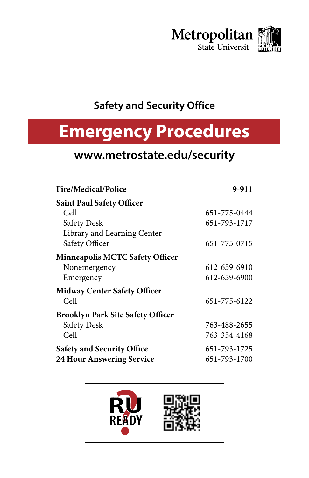

### **Safety and Security Office**

# **Emergency Procedures**

# **www.metrostate.edu/security**

| <b>Fire/Medical/Police</b>               | 9-911        |
|------------------------------------------|--------------|
| <b>Saint Paul Safety Officer</b>         |              |
| Cell                                     | 651-775-0444 |
| <b>Safety Desk</b>                       | 651-793-1717 |
| Library and Learning Center              |              |
| Safety Officer                           | 651-775-0715 |
| <b>Minneapolis MCTC Safety Officer</b>   |              |
| Nonemergency                             | 612-659-6910 |
| Emergency                                | 612-659-6900 |
| <b>Midway Center Safety Officer</b>      |              |
| Cell                                     | 651-775-6122 |
| <b>Brooklyn Park Site Safety Officer</b> |              |
| <b>Safety Desk</b>                       | 763-488-2655 |
| Cell                                     | 763-354-4168 |
| <b>Safety and Security Office</b>        | 651-793-1725 |
| <b>24 Hour Answering Service</b>         | 651-793-1700 |

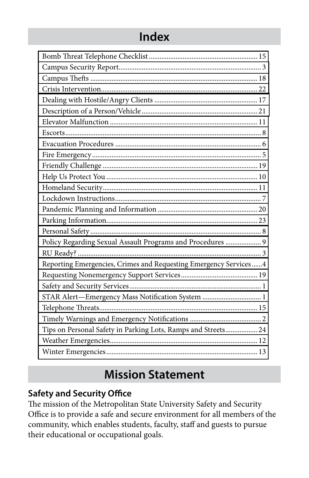### **Index**

| Policy Regarding Sexual Assault Programs and Procedures  9         |
|--------------------------------------------------------------------|
|                                                                    |
| Reporting Emergencies, Crimes and Requesting Emergency Services  4 |
|                                                                    |
|                                                                    |
| STAR Alert-Emergency Mass Notification System  1                   |
|                                                                    |
|                                                                    |
| Tips on Personal Safety in Parking Lots, Ramps and Streets 24      |
|                                                                    |

# **Mission Statement**

#### **Safety and Security Office**

The mission of the Metropolitan State University Safety and Security Office is to provide a safe and secure environment for all members of the community, which enables students, faculty, staff and guests to pursue their educational or occupational goals.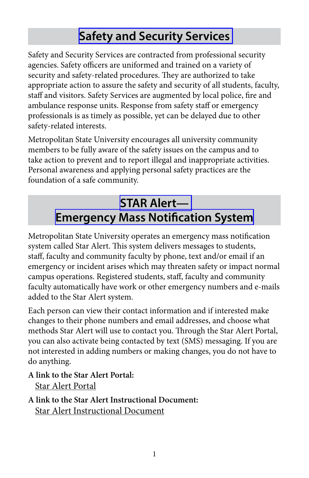# **[Safety and Security Services](http://www.metrostate.edu/msweb/resources/depts_services/security/index.html)**

<span id="page-2-0"></span>Safety and Security Services are contracted from professional security agencies. Safety officers are uniformed and trained on a variety of security and safety-related procedures. They are authorized to take appropriate action to assure the safety and security of all students, faculty, staff and visitors. Safety Services are augmented by local police, fire and ambulance response units. Response from safety staff or emergency professionals is as timely as possible, yet can be delayed due to other safety-related interests.

Metropolitan State University encourages all university community members to be fully aware of the safety issues on the campus and to take action to prevent and to report illegal and inappropriate activities. Personal awareness and applying personal safety practices are the foundation of a safe community.

# **[STAR Alert—](https://metrostate.bbcportal.com/) [Emergency Mass Notification System](https://metrostate.bbcportal.com/)**

Metropolitan State University operates an emergency mass notification system called Star Alert. This system delivers messages to students, staff, faculty and community faculty by phone, text and/or email if an emergency or incident arises which may threaten safety or impact normal campus operations. Registered students, staff, faculty and community faculty automatically have work or other emergency numbers and e-mails added to the Star Alert system.

Each person can view their contact information and if interested make changes to their phone numbers and email addresses, and choose what methods Star Alert will use to contact you. Through the Star Alert Portal, you can also activate being contacted by text (SMS) messaging. If you are not interested in adding numbers or making changes, you do not have to do anything.

**A link to the Star Alert Portal:**  [Star Alert Portal](https://metrostate.bbcportal.com/)

**A link to the Star Alert Instructional Document:**  [Star Alert Instructional Document](http://www.metrostate.edu/applications/drep/files/Star-Alert-Portal-Instructions.pdf)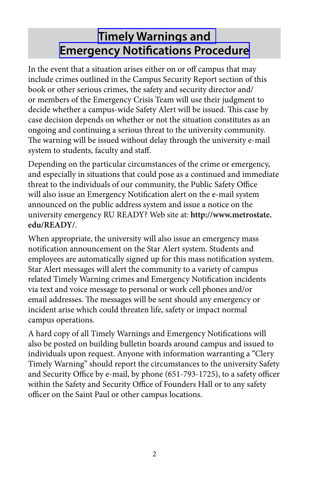# <span id="page-3-0"></span>**[Timely Warnings and](http://www.metrostate.edu/applications/drep/files/Procedure_-_Timely_Warnings.pdf) [Emergency Notifications Procedure](http://www.metrostate.edu/applications/drep/files/Procedure_-_Timely_Warnings.pdf)**

In the event that a situation arises either on or off campus that may include crimes outlined in the Campus Security Report section of this book or other serious crimes, the safety and security director and/ or members of the Emergency Crisis Team will use their judgment to decide whether a campus-wide Safety Alert will be issued. This case by case decision depends on whether or not the situation constitutes as an ongoing and continuing a serious threat to the university community. The warning will be issued without delay through the university e-mail system to students, faculty and staff.

Depending on the particular circumstances of the crime or emergency, and especially in situations that could pose as a continued and immediate threat to the individuals of our community, the Public Safety Office will also issue an Emergency Notification alert on the e-mail system announced on the public address system and issue a notice on the university emergency RU READY? Web site at: **http://www.metrostate. edu/READY/**.

When appropriate, the university will also issue an emergency mass notification announcement on the Star Alert system. Students and employees are automatically signed up for this mass notification system. Star Alert messages will alert the community to a variety of campus related Timely Warning crimes and Emergency Notification incidents via text and voice message to personal or work cell phones and/or email addresses. The messages will be sent should any emergency or incident arise which could threaten life, safety or impact normal campus operations.

A hard copy of all Timely Warnings and Emergency Notifications will also be posted on building bulletin boards around campus and issued to individuals upon request. Anyone with information warranting a "Clery Timely Warning" should report the circumstances to the university Safety and Security Office by e-mail, by phone (651-793-1725), to a safety officer within the Safety and Security Office of Founders Hall or to any safety officer on the Saint Paul or other campus locations.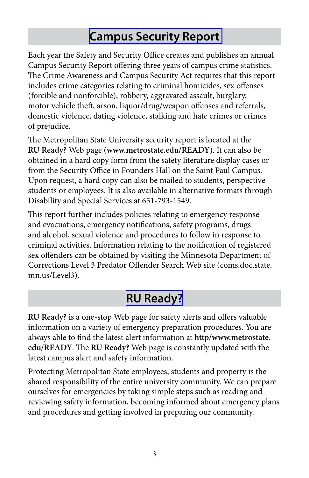## **[Campus Security Report](http://www.metrostate.edu/msweb/resources/depts_services/security/campus_security.html)**

<span id="page-4-0"></span>Each year the Safety and Security Office creates and publishes an annual Campus Security Report offering three years of campus crime statistics. The Crime Awareness and Campus Security Act requires that this report includes crime categories relating to criminal homicides, sex offenses (forcible and nonforcible), robbery, aggravated assault, burglary, motor vehicle theft, arson, liquor/drug/weapon offenses and referrals, domestic violence, dating violence, stalking and hate crimes or crimes of prejudice.

The Metropolitan State University security report is located at the **RU Ready?** Web page (**www.metrostate.edu/READY**). It can also be obtained in a hard copy form from the safety literature display cases or from the Security Office in Founders Hall on the Saint Paul Campus. Upon request, a hard copy can also be mailed to students, perspective students or employees. It is also available in alternative formats through Disability and Special Services at 651-793-1549.

This report further includes policies relating to emergency response and evacuations, emergency notifications, safety programs, drugs and alcohol, sexual violence and procedures to follow in response to criminal activities. Information relating to the notification of registered sex offenders can be obtained by visiting the Minnesota Department of Corrections Level 3 Predator Offender Search Web site (coms.doc.state. mn.us/Level3).

# **[RU Ready?](https://www.metrostate.edu/READY/index.cfm)**

**RU Ready?** is a one-stop Web page for safety alerts and offers valuable information on a variety of emergency preparation procedures. You are always able to find the latest alert information at **http/www.metrostate. edu/READY**. The **RU Ready?** Web page is constantly updated with the latest campus alert and safety information.

Protecting Metropolitan State employees, students and property is the shared responsibility of the entire university community. We can prepare ourselves for emergencies by taking simple steps such as reading and reviewing safety information, becoming informed about emergency plans and procedures and getting involved in preparing our community.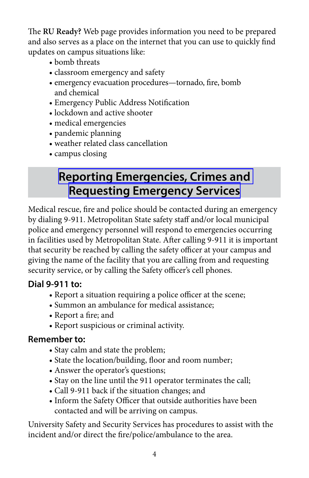<span id="page-5-0"></span>The **RU Ready?** Web page provides information you need to be prepared and also serves as a place on the internet that you can use to quickly find updates on campus situations like:

- bomb threats
- classroom emergency and safety
- emergency evacuation procedures—tornado, fire, bomb and chemical
- Emergency Public Address Notification
	- lockdown and active shooter
- medical emergencies
- pandemic planning
- weather related class cancellation
- campus closing

# **[Reporting Emergencies, Crimes and](http://www.metrostate.edu/applications/drep/files/EmergencyInformationSheet.pdf)  [Requesting Emergency Services](http://www.metrostate.edu/applications/drep/files/EmergencyInformationSheet.pdf)**

Medical rescue, fire and police should be contacted during an emergency by dialing 9-911. Metropolitan State safety staff and/or local municipal police and emergency personnel will respond to emergencies occurring in facilities used by Metropolitan State. After calling 9-911 it is important that security be reached by calling the safety officer at your campus and giving the name of the facility that you are calling from and requesting security service, or by calling the Safety officer's cell phones.

#### **Dial 9-911 to:**

- Report a situation requiring a police officer at the scene;
- Summon an ambulance for medical assistance;
- Report a fire; and
- Report suspicious or criminal activity.

#### **Remember to:**

- Stay calm and state the problem;
- State the location/building, floor and room number;
- Answer the operator's questions;
- Stay on the line until the 911 operator terminates the call;
- Call 9-911 back if the situation changes; and
- Inform the Safety Officer that outside authorities have been contacted and will be arriving on campus.

University Safety and Security Services has procedures to assist with the incident and/or direct the fire/police/ambulance to the area.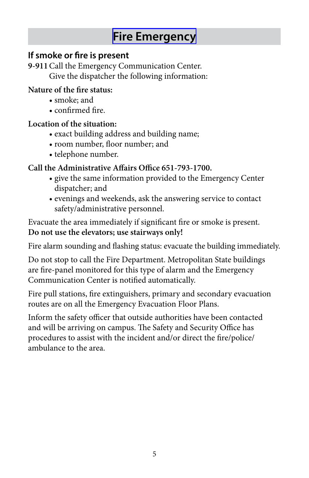### **[Fire Emergency](https://www.metrostate.edu/applications/drep/files/Emergency_Evacuation_Procedure.pdf)**

#### <span id="page-6-0"></span>**If smoke or fire is present**

 **9-911** Call the Emergency Communication Center. Give the dispatcher the following information:

#### **Nature of the fire status:**

- smoke; and
- confirmed fire.

#### **Location of the situation:**

- exact building address and building name;
- room number, floor number; and
- telephone number.

#### **Call the Administrative Affairs Office 651-793-1700.**

- give the same information provided to the Emergency Center dispatcher; and
	- evenings and weekends, ask the answering service to contact safety/administrative personnel.

Evacuate the area immediately if significant fire or smoke is present. **Do not use the elevators; use stairways only!** 

 Fire alarm sounding and flashing status: evacuate the building immediately.

Do not stop to call the Fire Department. Metropolitan State buildings are fire-panel monitored for this type of alarm and the Emergency Communication Center is notified automatically.

Fire pull stations, fire extinguishers, primary and secondary evacuation routes are on all the Emergency Evacuation Floor Plans.

Inform the safety officer that outside authorities have been contacted and will be arriving on campus. The Safety and Security Office has procedures to assist with the incident and/or direct the fire/police/ ambulance to the area.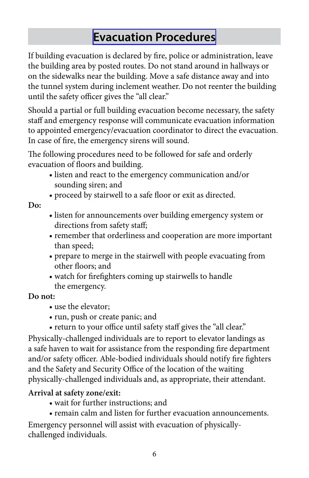### **[Evacuation Procedures](https://www.metrostate.edu/applications/drep/files/Emergency_Evacuation_Procedure.pdf)**

<span id="page-7-0"></span>If building evacuation is declared by fire, police or administration, leave the building area by posted routes. Do not stand around in hallways or on the sidewalks near the building. Move a safe distance away and into the tunnel system during inclement weather. Do not reenter the building until the safety officer gives the "all clear."

Should a partial or full building evacuation become necessary, the safety staff and emergency response will communicate evacuation information to appointed emergency/evacuation coordinator to direct the evacuation. In case of fire, the emergency sirens will sound.

 evacuation of floors and building. The following procedures need to be followed for safe and orderly

- listen and react to the emergency communication and/or sounding siren; and
- proceed by stairwell to a safe floor or exit as directed.

**Do:** 

- listen for announcements over building emergency system or directions from safety staff;
- remember that orderliness and cooperation are more important than speed;
- prepare to merge in the stairwell with people evacuating from other floors; and
- watch for firefighters coming up stairwells to handle the emergency.

#### **Do not:**

- use the elevator;
- run, push or create panic; and
- return to your office until safety staff gives the "all clear."

Physically-challenged individuals are to report to elevator landings as a safe haven to wait for assistance from the responding fire department and/or safety officer. Able-bodied individuals should notify fire fighters and the Safety and Security Office of the location of the waiting physically-challenged individuals and, as appropriate, their attendant.

#### **Arrival at safety zone/exit:**

- wait for further instructions; and
- remain calm and listen for further evacuation announcements.

Emergency personnel will assist with evacuation of physicallychallenged individuals.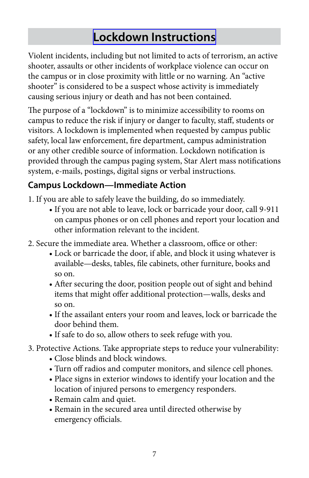# **[Lockdown Instructions](http://www.metrostate.edu/applications/drep/files/lockdown_active_shooter.pdf)**

<span id="page-8-0"></span>Violent incidents, including but not limited to acts of terrorism, an active shooter, assaults or other incidents of workplace violence can occur on the campus or in close proximity with little or no warning. An "active shooter" is considered to be a suspect whose activity is immediately causing serious injury or death and has not been contained.

The purpose of a "lockdown" is to minimize accessibility to rooms on campus to reduce the risk if injury or danger to faculty, staff, students or visitors. A lockdown is implemented when requested by campus public safety, local law enforcement, fire department, campus administration or any other credible source of information. Lockdown notification is provided through the campus paging system, Star Alert mass notifications system, e-mails, postings, digital signs or verbal instructions.

#### **Campus Lockdown—Immediate Action**

- 1. If you are able to safely leave the building, do so immediately.
- If you are not able to leave, lock or barricade your door, call 9-911 on campus phones or on cell phones and report your location and other information relevant to the incident.
- 2. Secure the immediate area. Whether a classroom, office or other:
- Lock or barricade the door, if able, and block it using whatever is available—desks, tables, file cabinets, other furniture, books and so on.
- After securing the door, position people out of sight and behind items that might offer additional protection—walls, desks and so on.
- If the assailant enters your room and leaves, lock or barricade the door behind them.
	- If safe to do so, allow others to seek refuge with you.
- 3. Protective Actions. Take appropriate steps to reduce your vulnerability:
- Close blinds and block windows.
- Turn off radios and computer monitors, and silence cell phones.
- Place signs in exterior windows to identify your location and the location of injured persons to emergency responders.
- Remain calm and quiet.
- Remain in the secured area until directed otherwise by emergency officials.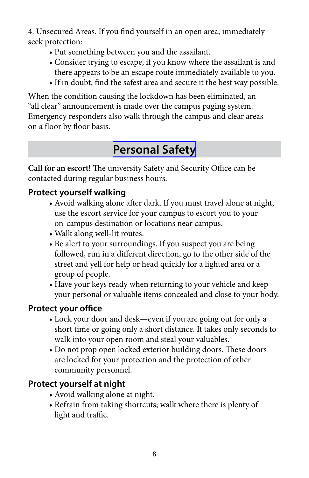<span id="page-9-0"></span>4. Unsecured Areas. If you find yourself in an open area, immediately seek protection:

- Put something between you and the assailant.
- Consider trying to escape, if you know where the assailant is and there appears to be an escape route immediately available to you.
- If in doubt, find the safest area and secure it the best way possible.

 on a floor by floor basis. When the condition causing the lockdown has been eliminated, an "all clear" announcement is made over the campus paging system. Emergency responders also walk through the campus and clear areas

### **[Personal Safety](http://www.metrostate.edu/applications/drep/files/Spring_Safety.pdf)**

**Call for an escort!** The university Safety and Security Office can be contacted during regular business hours.

#### **Protect yourself walking**

- Avoid walking alone after dark. If you must travel alone at night, use the escort service for your campus to escort you to your on-campus destination or locations near campus.
- Walk along well-lit routes.
- Be alert to your surroundings. If you suspect you are being followed, run in a different direction, go to the other side of the street and yell for help or head quickly for a lighted area or a group of people.
- Have your keys ready when returning to your vehicle and keep your personal or valuable items concealed and close to your body.

#### **Protect your office**

- Lock your door and desk—even if you are going out for only a short time or going only a short distance. It takes only seconds to walk into your open room and steal your valuables.
- Do not prop open locked exterior building doors. These doors are locked for your protection and the protection of other community personnel.

#### **Protect yourself at night**

- Avoid walking alone at night.
- Refrain from taking shortcuts; walk where there is plenty of light and traffic.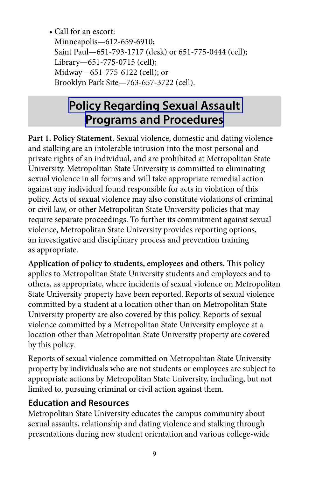<span id="page-10-0"></span> • Call for an escort: Saint Paul—651-793-1717 (desk) or 651-775-0444 (cell); Library—651-775-0715 (cell); Midway—651-775-6122 (cell); or Minneapolis—612-659-6910; Brooklyn Park Site—763-657-3722 (cell).

## **[Policy Regarding Sexual Assault](http://metro-gateway.custhelp.com/ci/documents/detail/2/tix) [Programs and Procedures](http://metro-gateway.custhelp.com/ci/documents/detail/2/tix)**

**Part 1. Policy Statement.** Sexual violence, domestic and dating violence and stalking are an intolerable intrusion into the most personal and private rights of an individual, and are prohibited at Metropolitan State University. Metropolitan State University is committed to eliminating sexual violence in all forms and will take appropriate remedial action against any individual found responsible for acts in violation of this policy. Acts of sexual violence may also constitute violations of criminal or civil law, or other Metropolitan State University policies that may require separate proceedings. To further its commitment against sexual violence, Metropolitan State University provides reporting options, an investigative and disciplinary process and prevention training as appropriate.

**Application of policy to students, employees and others.** This policy applies to Metropolitan State University students and employees and to others, as appropriate, where incidents of sexual violence on Metropolitan State University property have been reported. Reports of sexual violence committed by a student at a location other than on Metropolitan State University property are also covered by this policy. Reports of sexual violence committed by a Metropolitan State University employee at a location other than Metropolitan State University property are covered by this policy.

Reports of sexual violence committed on Metropolitan State University property by individuals who are not students or employees are subject to appropriate actions by Metropolitan State University, including, but not limited to, pursuing criminal or civil action against them.

#### **Education and Resources**

Metropolitan State University educates the campus community about sexual assaults, relationship and dating violence and stalking through presentations during new student orientation and various college-wide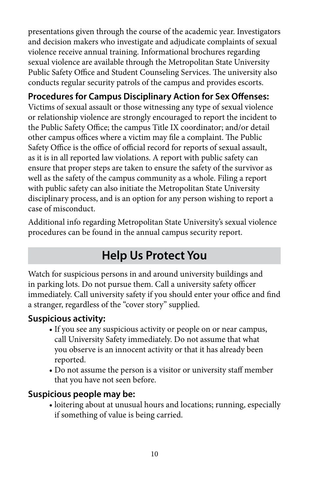<span id="page-11-0"></span>presentations given through the course of the academic year. Investigators and decision makers who investigate and adjudicate complaints of sexual violence receive annual training. Informational brochures regarding sexual violence are available through the Metropolitan State University Public Safety Office and Student Counseling Services. The university also conducts regular security patrols of the campus and provides escorts.

#### **Procedures for Campus Disciplinary Action for Sex Offenses:**

 the Public Safety Office; the campus Title IX coordinator; and/or detail Victims of sexual assault or those witnessing any type of sexual violence or relationship violence are strongly encouraged to report the incident to other campus offices where a victim may file a complaint. The Public Safety Office is the office of official record for reports of sexual assault, as it is in all reported law violations. A report with public safety can ensure that proper steps are taken to ensure the safety of the survivor as well as the safety of the campus community as a whole. Filing a report with public safety can also initiate the Metropolitan State University disciplinary process, and is an option for any person wishing to report a case of misconduct.

Additional info regarding Metropolitan State University's sexual violence procedures can be found in the annual campus security report.

### **Help Us Protect You**

Watch for suspicious persons in and around university buildings and in parking lots. Do not pursue them. Call a university safety officer immediately. Call university safety if you should enter your office and find a stranger, regardless of the "cover story" supplied.

#### **Suspicious activity:**

- If you see any suspicious activity or people on or near campus, call University Safety immediately. Do not assume that what you observe is an innocent activity or that it has already been reported.
- Do not assume the person is a visitor or university staff member that you have not seen before.

#### **Suspicious people may be:**

 • loitering about at unusual hours and locations; running, especially if something of value is being carried.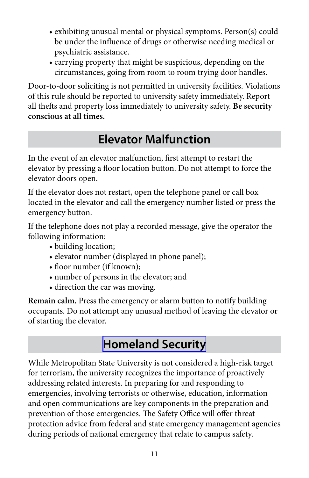- <span id="page-12-0"></span> • exhibiting unusual mental or physical symptoms. Person(s) could be under the influence of drugs or otherwise needing medical or psychiatric assistance.
- carrying property that might be suspicious, depending on the circumstances, going from room to room trying door handles.

Door-to-door soliciting is not permitted in university facilities. Violations of this rule should be reported to university safety immediately. Report all thefts and property loss immediately to university safety. **Be security conscious at all times.** 

# **Elevator Malfunction**

 elevator by pressing a floor location button. Do not attempt to force the In the event of an elevator malfunction, first attempt to restart the elevator doors open.

If the elevator does not restart, open the telephone panel or call box located in the elevator and call the emergency number listed or press the emergency button.

If the telephone does not play a recorded message, give the operator the following information:

- building location;
- elevator number (displayed in phone panel);
- floor number (if known);
- number of persons in the elevator; and
- direction the car was moving.

**Remain calm.** Press the emergency or alarm button to notify building occupants. Do not attempt any unusual method of leaving the elevator or of starting the elevator.

### **[Homeland Security](http://www.dhs.gov/)**

While Metropolitan State University is not considered a high-risk target for terrorism, the university recognizes the importance of proactively addressing related interests. In preparing for and responding to emergencies, involving terrorists or otherwise, education, information and open communications are key components in the preparation and prevention of those emergencies. The Safety Office will offer threat protection advice from federal and state emergency management agencies during periods of national emergency that relate to campus safety.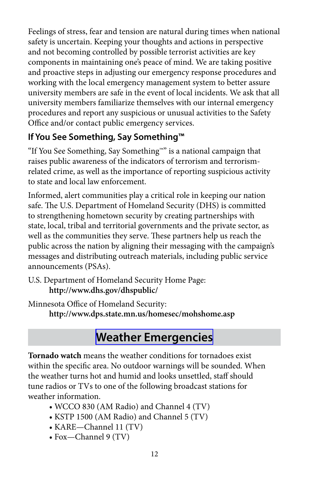<span id="page-13-0"></span>Feelings of stress, fear and tension are natural during times when national safety is uncertain. Keeping your thoughts and actions in perspective and not becoming controlled by possible terrorist activities are key components in maintaining one's peace of mind. We are taking positive and proactive steps in adjusting our emergency response procedures and working with the local emergency management system to better assure university members are safe in the event of local incidents. We ask that all university members familiarize themselves with our internal emergency procedures and report any suspicious or unusual activities to the Safety Office and/or contact public emergency services.

#### **If You See Something, Say Something™**

"If You See Something, Say Something™" is a national campaign that raises public awareness of the indicators of terrorism and terrorismrelated crime, as well as the importance of reporting suspicious activity to state and local law enforcement.

Informed, alert communities play a critical role in keeping our nation safe. The U.S. Department of Homeland Security (DHS) is committed to strengthening hometown security by creating partnerships with state, local, tribal and territorial governments and the private sector, as well as the communities they serve. These partners help us reach the public across the nation by aligning their messaging with the campaign's messages and distributing outreach materials, including public service announcements (PSAs).

U.S. Department of Homeland Security Home Page: **http://www.dhs.gov/dhspublic/** 

Minnesota Office of Homeland Security:

**http://www.dps.state.mn.us/homesec/mohshome.asp** 

# **[Weather Emergencies](https://www.metrostate.edu/applications/drep/files/Emergency_Evacuation_Procedure.pdf)**

**Tornado watch** means the weather conditions for tornadoes exist within the specific area. No outdoor warnings will be sounded. When the weather turns hot and humid and looks unsettled, staff should tune radios or TVs to one of the following broadcast stations for weather information.

- WCCO 830 (AM Radio) and Channel 4 (TV)
	- KSTP 1500 (AM Radio) and Channel 5 (TV)
- KARE—Channel 11 (TV)
- Fox—Channel 9 (TV)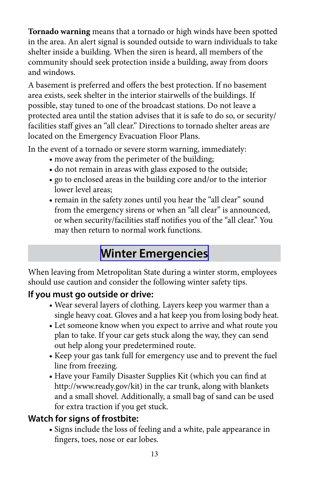<span id="page-14-0"></span>**Tornado warning** means that a tornado or high winds have been spotted in the area. An alert signal is sounded outside to warn individuals to take shelter inside a building. When the siren is heard, all members of the community should seek protection inside a building, away from doors and windows.

A basement is preferred and offers the best protection. If no basement area exists, seek shelter in the interior stairwells of the buildings. If possible, stay tuned to one of the broadcast stations. Do not leave a protected area until the station advises that it is safe to do so, or security/ facilities staff gives an "all clear." Directions to tornado shelter areas are located on the Emergency Evacuation Floor Plans.

In the event of a tornado or severe storm warning, immediately:

- move away from the perimeter of the building;
- do not remain in areas with glass exposed to the outside;
- go to enclosed areas in the building core and/or to the interior lower level areas;
	- remain in the safety zones until you hear the "all clear" sound from the emergency sirens or when an "all clear" is announced, or when security/facilities staff notifies you of the "all clear." You may then return to normal work functions.

### **[Winter Emergencies](http://www.metrostate.edu/applications/drep/files/Winter_Safety.pdf)**

When leaving from Metropolitan State during a winter storm, employees should use caution and consider the following winter safety tips.

#### **If you must go outside or drive:**

- Wear several layers of clothing. Layers keep you warmer than a single heavy coat. Gloves and a hat keep you from losing body heat.
- Let someone know when you expect to arrive and what route you plan to take. If your car gets stuck along the way, they can send out help along your predetermined route.
- Keep your gas tank full for emergency use and to prevent the fuel line from freezing.
- Have your Family Disaster Supplies Kit (which you can find at http://www.ready.gov/kit) in the car trunk, along with blankets and a small shovel. Additionally, a small bag of sand can be used for extra traction if you get stuck.

#### **Watch for signs of frostbite:**

 • Signs include the loss of feeling and a white, pale appearance in fingers, toes, nose or ear lobes.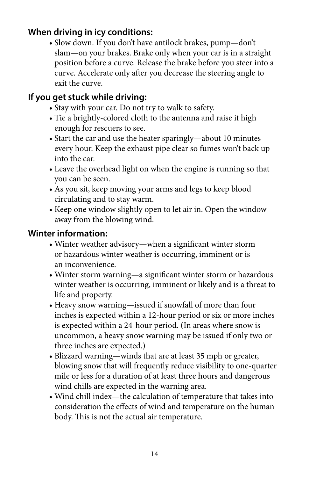#### **When driving in icy conditions:**

 • Slow down. If you don't have antilock brakes, pump—don't slam—on your brakes. Brake only when your car is in a straight position before a curve. Release the brake before you steer into a curve. Accelerate only after you decrease the steering angle to exit the curve.

#### **If you get stuck while driving:**

- Stay with your car. Do not try to walk to safety.
- Tie a brightly-colored cloth to the antenna and raise it high enough for rescuers to see.
- Start the car and use the heater sparingly—about 10 minutes every hour. Keep the exhaust pipe clear so fumes won't back up into the car.
- Leave the overhead light on when the engine is running so that you can be seen.
	- As you sit, keep moving your arms and legs to keep blood circulating and to stay warm.
	- Keep one window slightly open to let air in. Open the window away from the blowing wind.

#### **Winter information:**

- Winter weather advisory—when a significant winter storm or hazardous winter weather is occurring, imminent or is an inconvenience.
- Winter storm warning—a significant winter storm or hazardous winter weather is occurring, imminent or likely and is a threat to life and property.
- Heavy snow warning—issued if snowfall of more than four inches is expected within a 12-hour period or six or more inches is expected within a 24-hour period. (In areas where snow is uncommon, a heavy snow warning may be issued if only two or three inches are expected.)
- Blizzard warning—winds that are at least 35 mph or greater, blowing snow that will frequently reduce visibility to one-quarter mile or less for a duration of at least three hours and dangerous wind chills are expected in the warning area.
- Wind chill index—the calculation of temperature that takes into consideration the effects of wind and temperature on the human body. This is not the actual air temperature.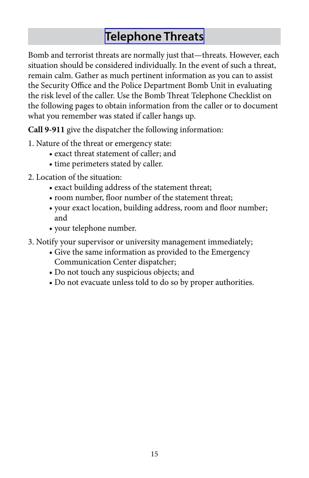## **[Telephone Threats](http://www.metrostate.edu/applications/drep/files/Bomb%20Threat%20Procedure.pdf)**

<span id="page-16-0"></span>Bomb and terrorist threats are normally just that—threats. However, each situation should be considered individually. In the event of such a threat, remain calm. Gather as much pertinent information as you can to assist the Security Office and the Police Department Bomb Unit in evaluating the risk level of the caller. Use the Bomb Threat Telephone Checklist on the following pages to obtain information from the caller or to document what you remember was stated if caller hangs up.

**Call 9-911** give the dispatcher the following information:

- 1. Nature of the threat or emergency state:
- exact threat statement of caller; and
- time perimeters stated by caller.
- 2. Location of the situation:
- exact building address of the statement threat;
- room number, floor number of the statement threat;
- your exact location, building address, room and floor number; and
- your telephone number.
- 3. Notify your supervisor or university management immediately;
- Give the same information as provided to the Emergency Communication Center dispatcher;
- Do not touch any suspicious objects; and
- Do not evacuate unless told to do so by proper authorities.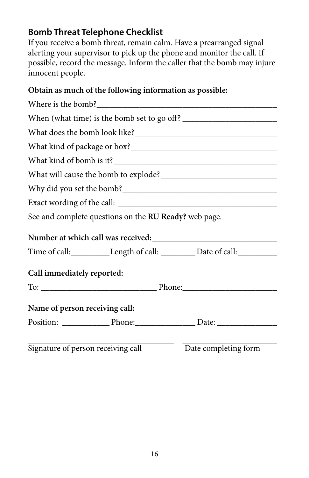#### **Bomb Threat Telephone Checklist**

If you receive a bomb threat, remain calm. Have a prearranged signal alerting your supervisor to pick up the phone and monitor the call. If possible, record the message. Inform the caller that the bomb may injure innocent people.

#### **Obtain as much of the following information as possible:**

|                                | See and complete questions on the RU Ready? web page. |                                                                                  |  |
|--------------------------------|-------------------------------------------------------|----------------------------------------------------------------------------------|--|
|                                |                                                       |                                                                                  |  |
|                                |                                                       | Time of call:____________Length of call: __________Date of call: _______________ |  |
| Call immediately reported:     |                                                       |                                                                                  |  |
|                                |                                                       |                                                                                  |  |
| Name of person receiving call: |                                                       |                                                                                  |  |
|                                |                                                       |                                                                                  |  |
|                                | Signature of person receiving call                    | Date completing form                                                             |  |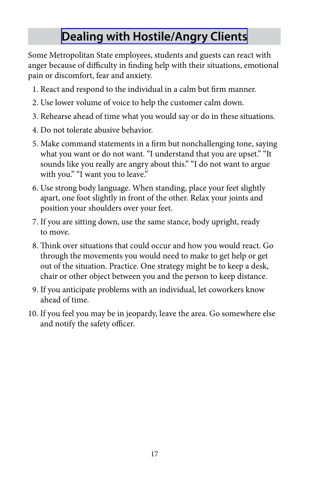# **[Dealing with Hostile/Angry Clients](http://www.metrostate.edu/msweb/resources/depts_services/security/emergency/classroom.html)**

<span id="page-18-0"></span>Some Metropolitan State employees, students and guests can react with anger because of difficulty in finding help with their situations, emotional pain or discomfort, fear and anxiety.

- 1. React and respond to the individual in a calm but firm manner.
- 2. Use lower volume of voice to help the customer calm down.
- 3. Rehearse ahead of time what you would say or do in these situations.
- 4. Do not tolerate abusive behavior.
- 5. Make command statements in a firm but nonchallenging tone, saying what you want or do not want. "I understand that you are upset." "It sounds like you really are angry about this." "I do not want to argue with you." "I want you to leave."
- 6. Use strong body language. When standing, place your feet slightly apart, one foot slightly in front of the other. Relax your joints and position your shoulders over your feet.
- 7. If you are sitting down, use the same stance, body upright, ready to move.
- 8. Think over situations that could occur and how you would react. Go through the movements you would need to make to get help or get out of the situation. Practice. One strategy might be to keep a desk, chair or other object between you and the person to keep distance.
- 9. If you anticipate problems with an individual, let coworkers know ahead of time.
- 10. If you feel you may be in jeopardy, leave the area. Go somewhere else and notify the safety officer.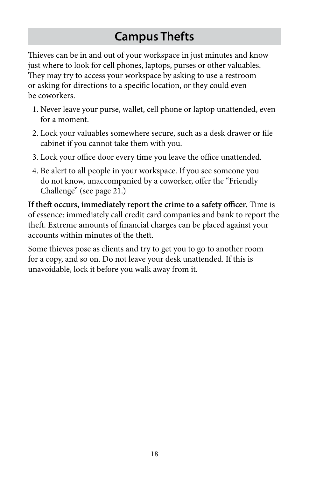# **Campus Thefts**

<span id="page-19-0"></span>Thieves can be in and out of your workspace in just minutes and know just where to look for cell phones, laptops, purses or other valuables. They may try to access your workspace by asking to use a restroom or asking for directions to a specific location, or they could even be coworkers.

- 1. Never leave your purse, wallet, cell phone or laptop unattended, even for a moment.
- 2. Lock your valuables somewhere secure, such as a desk drawer or file cabinet if you cannot take them with you.
- 3. Lock your office door every time you leave the office unattended.
- 4. Be alert to all people in your workspace. If you see someone you do not know, unaccompanied by a coworker, offer the "Friendly Challenge" (see page 21.)

**If theft occurs, immediately report the crime to a safety officer.** Time is of essence: immediately call credit card companies and bank to report the theft. Extreme amounts of financial charges can be placed against your accounts within minutes of the theft.

Some thieves pose as clients and try to get you to go to another room for a copy, and so on. Do not leave your desk unattended. If this is unavoidable, lock it before you walk away from it.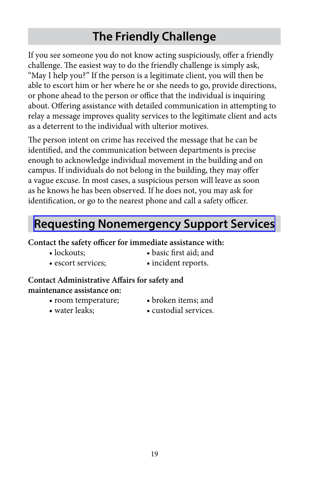# **The Friendly Challenge**

<span id="page-20-0"></span>If you see someone you do not know acting suspiciously, offer a friendly challenge. The easiest way to do the friendly challenge is simply ask, "May I help you?" If the person is a legitimate client, you will then be able to escort him or her where he or she needs to go, provide directions, or phone ahead to the person or office that the individual is inquiring about. Offering assistance with detailed communication in attempting to relay a message improves quality services to the legitimate client and acts as a deterrent to the individual with ulterior motives.

The person intent on crime has received the message that he can be identified, and the communication between departments is precise enough to acknowledge individual movement in the building and on campus. If individuals do not belong in the building, they may offer a vague excuse. In most cases, a suspicious person will leave as soon as he knows he has been observed. If he does not, you may ask for identification, or go to the nearest phone and call a safety officer.

### **[Requesting Nonemergency Support Services](http://www.metrostate.edu/msweb/resources/depts_services/security/index.html)**

#### **Contact the safety officer for immediate assistance with:**

- 
- lockouts; basic first aid; and
	- escort services:
- incident reports.

#### **Contact Administrative Affairs for safety and maintenance assistance on:**

- room temperature; • broken items; and
	-

• water leaks;

• custodial services.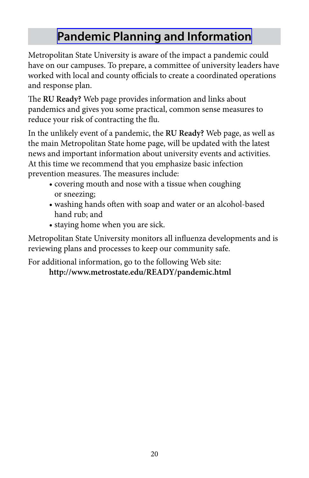# **[Pandemic Planning and Information](https://www.metrostate.edu/READY/pandemic.html)**

<span id="page-21-0"></span>Metropolitan State University is aware of the impact a pandemic could have on our campuses. To prepare, a committee of university leaders have worked with local and county officials to create a coordinated operations and response plan.

 reduce your risk of contracting the flu. The **RU Ready?** Web page provides information and links about pandemics and gives you some practical, common sense measures to

In the unlikely event of a pandemic, the **RU Ready?** Web page, as well as the main Metropolitan State home page, will be updated with the latest news and important information about university events and activities. At this time we recommend that you emphasize basic infection prevention measures. The measures include:

- covering mouth and nose with a tissue when coughing or sneezing;
	- hand rub; and • washing hands often with soap and water or an alcohol-based
- staying home when you are sick.

 Metropolitan State University monitors all influenza developments and is reviewing plans and processes to keep our community safe.

For additional information, go to the following Web site: **http://www.metrostate.edu/READY/pandemic.html**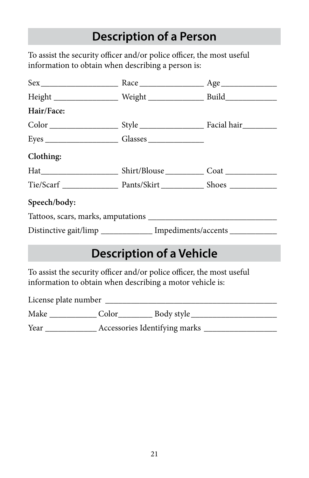### **Description of a Person**

<span id="page-22-0"></span>To assist the security officer and/or police officer, the most useful information to obtain when describing a person is:

| Height ______________________ Weight _______________________ Build_______________ |  |  |  |
|-----------------------------------------------------------------------------------|--|--|--|
| Hair/Face:                                                                        |  |  |  |
|                                                                                   |  |  |  |
|                                                                                   |  |  |  |
| Clothing:                                                                         |  |  |  |
|                                                                                   |  |  |  |
|                                                                                   |  |  |  |
| Speech/body:                                                                      |  |  |  |
|                                                                                   |  |  |  |
| Distinctive gait/limp _____________ Impediments/accents ____________              |  |  |  |

# **Description of a Vehicle**

To assist the security officer and/or police officer, the most useful information to obtain when describing a motor vehicle is:

License plate number \_\_\_\_\_\_\_\_\_\_\_\_\_\_\_\_\_\_\_\_\_\_\_\_\_\_\_\_\_\_\_\_\_\_\_\_\_\_\_\_

| Make         |                                                                                                                                                                                                                                                                                                             | Body style |
|--------------|-------------------------------------------------------------------------------------------------------------------------------------------------------------------------------------------------------------------------------------------------------------------------------------------------------------|------------|
| $\mathbf{v}$ | $\mathbf{r}$ , $\mathbf{r}$ , $\mathbf{r}$ , $\mathbf{r}$ , $\mathbf{r}$ , $\mathbf{r}$ , $\mathbf{r}$ , $\mathbf{r}$ , $\mathbf{r}$ , $\mathbf{r}$ , $\mathbf{r}$ , $\mathbf{r}$ , $\mathbf{r}$ , $\mathbf{r}$ , $\mathbf{r}$ , $\mathbf{r}$ , $\mathbf{r}$ , $\mathbf{r}$ , $\mathbf{r}$ , $\mathbf{r}$ , |            |

Year \_\_\_\_\_\_\_\_\_\_\_\_\_\_\_\_\_ Accessories Identifying marks \_\_\_\_\_\_\_\_\_\_\_\_\_\_\_\_\_\_\_\_\_\_\_\_\_\_\_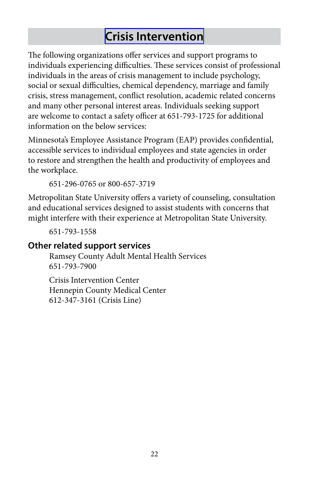## **[Crisis Intervention](http://www.metrostate.edu/applications/drep/files/AddressingStudentDistressOrCrisis.pdf)**

<span id="page-23-0"></span> crisis, stress management, conflict resolution, academic related concerns The following organizations offer services and support programs to individuals experiencing difficulties. These services consist of professional individuals in the areas of crisis management to include psychology, social or sexual difficulties, chemical dependency, marriage and family and many other personal interest areas. Individuals seeking support are welcome to contact a safety officer at 651-793-1725 for additional information on the below services:

Minnesota's Employee Assistance Program (EAP) provides confidential, accessible services to individual employees and state agencies in order to restore and strengthen the health and productivity of employees and the workplace.

651-296-0765 or 800-657-3719

Metropolitan State University offers a variety of counseling, consultation and educational services designed to assist students with concerns that might interfere with their experience at Metropolitan State University.

651-793-1558

#### **Other related support services**

Ramsey County Adult Mental Health Services 651-793-7900

Crisis Intervention Center Hennepin County Medical Center 612-347-3161 (Crisis Line)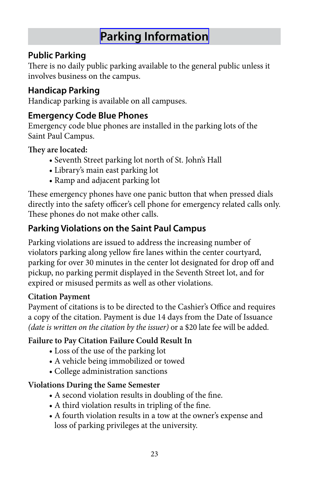# **[Parking Information](http://www.metrostate.edu/msweb/resources/depts_services/security/park_violations.html)**

#### <span id="page-24-0"></span>**Public Parking**

There is no daily public parking available to the general public unless it involves business on the campus.

#### **Handicap Parking**

Handicap parking is available on all campuses.

#### **Emergency Code Blue Phones**

Emergency code blue phones are installed in the parking lots of the Saint Paul Campus.

#### **They are located:**

- Seventh Street parking lot north of St. John's Hall
- Library's main east parking lot
- Ramp and adjacent parking lot

These emergency phones have one panic button that when pressed dials directly into the safety officer's cell phone for emergency related calls only. These phones do not make other calls.

#### **Parking Violations on the Saint Paul Campus**

Parking violations are issued to address the increasing number of violators parking along yellow fire lanes within the center courtyard, parking for over 30 minutes in the center lot designated for drop off and pickup, no parking permit displayed in the Seventh Street lot, and for expired or misused permits as well as other violations.

#### **Citation Payment**

Payment of citations is to be directed to the Cashier's Office and requires a copy of the citation. Payment is due 14 days from the Date of Issuance *(date is written on the citation by the issuer)* or a \$20 late fee will be added.

#### **Failure to Pay Citation Failure Could Result In**

- Loss of the use of the parking lot
- A vehicle being immobilized or towed
- College administration sanctions

#### **Violations During the Same Semester**

- A second violation results in doubling of the fine.
	- A third violation results in tripling of the fine.
- A fourth violation results in a tow at the owner's expense and loss of parking privileges at the university.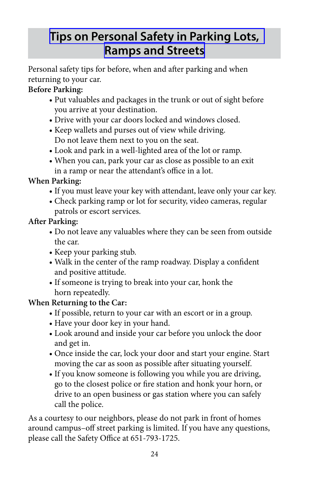# <span id="page-25-0"></span>**[Tips on Personal Safety in Parking Lots,](http://www.metrostate.edu/applications/drep/files/Tips_on_Personal_Safety_in_Parking_Lots.pdf) [Ramps and Streets](http://www.metrostate.edu/applications/drep/files/Tips_on_Personal_Safety_in_Parking_Lots.pdf)**

Personal safety tips for before, when and after parking and when returning to your car.

#### **Before Parking:**

- Put valuables and packages in the trunk or out of sight before you arrive at your destination.
- Drive with your car doors locked and windows closed.
	- Keep wallets and purses out of view while driving. Do not leave them next to you on the seat.
- Look and park in a well-lighted area of the lot or ramp.
- When you can, park your car as close as possible to an exit in a ramp or near the attendant's office in a lot.

#### **When Parking:**

- If you must leave your key with attendant, leave only your car key.
- Check parking ramp or lot for security, video cameras, regular patrols or escort services.

#### **After Parking:**

- Do not leave any valuables where they can be seen from outside the car.
- Keep your parking stub.
- Walk in the center of the ramp roadway. Display a confident and positive attitude.
	- If someone is trying to break into your car, honk the horn repeatedly.

#### **When Returning to the Car:**

- If possible, return to your car with an escort or in a group.
- Have your door key in your hand.
- Look around and inside your car before you unlock the door and get in.
- Once inside the car, lock your door and start your engine. Start moving the car as soon as possible after situating yourself.
- If you know someone is following you while you are driving, go to the closest police or fire station and honk your horn, or drive to an open business or gas station where you can safely call the police.

As a courtesy to our neighbors, please do not park in front of homes around campus–off street parking is limited. If you have any questions, please call the Safety Office at 651-793-1725.